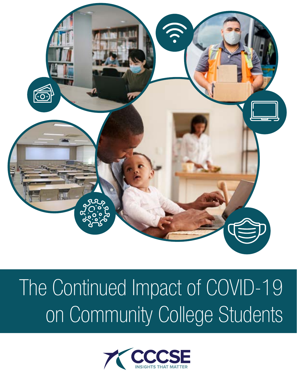

# The Continued Impact of COVID-19 on Community College Students

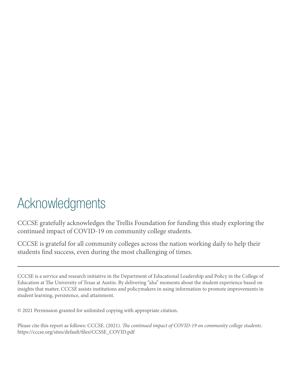### Acknowledgments

CCCSE gratefully acknowledges the Trellis Foundation for funding this study exploring the continued impact of COVID-19 on community college students.

CCCSE is grateful for all community colleges across the nation working daily to help their students find success, even during the most challenging of times.

CCCSE is a service and research initiative in the [Department of Educational Leadership and Policy](https://education.utexas.edu/departments/educational-administration) in the [College of](http://education.utexas.edu/)  [Education](http://education.utexas.edu/) at [The University of Texas at Austin.](https://www.utexas.edu/) By delivering "aha" moments about the student experience based on insights that matter, CCCSE assists institutions and policymakers in using information to promote improvements in student learning, persistence, and attainment.

© 2021 Permission granted for unlimited copying with appropriate citation.

Please cite this report as follows: CCCSE. (2021). *The continued impact of COVID-19 on community college students*. [https://cccse.org/sites/default/files/CCSSE\\_COVID.pdf](https://cccse.org/sites/default/files/CCSSE_COVID.pdf)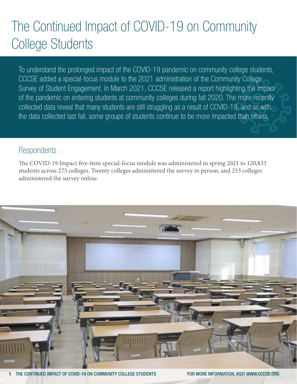### The Continued Impact of COVID-19 on Community College Students

To understand the prolonged impact of the COVID-19 pandemic on community college students, CCCSE added a special-focus module to the 2021 administration of the Community College Survey of Student Engagement. In March 2021, CCCSE released a [report](https://cccse.org/publications-resources/reports) highlighting the impact of the pandemic on entering students at community colleges during fall 2020. The more recently collected data reveal that many students are still struggling as a result of COVID-19, and as with the data collected last fall, some groups of students continue to be more impacted than others.

### **Respondents**

The COVID-19 Impact five-item special-focus module was administered in spring 2021 to 120,833 students across 273 colleges. Twenty colleges administered the survey in person, and 253 colleges administered the survey online.

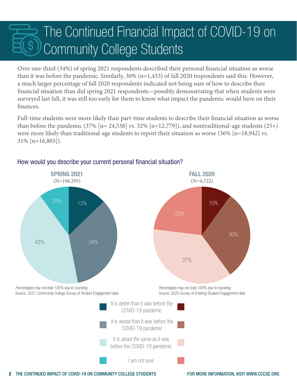### The Continued Financial Impact of COVID-19 on Community College Students

Over one-third (34%) of spring 2021 respondents described their personal financial situation as worse than it was before the pandemic. Similarly, 30% (n=1,433) of fall 2020 respondents said this. However, a much larger percentage of fall 2020 respondents indicated not being sure of how to describe their financial situation than did spring 2021 respondents—possibly demonstrating that when students were surveyed last fall, it was still too early for them to know what impact the pandemic would have on their finances.

Full-time students were more likely than part-time students to describe their financial situation as worse than before the pandemic (37%  $[n= 24,538]$  vs. 32%  $[n=12,779]$ ), and nontraditional-age students (25+) were more likely than traditional-age students to report their situation as worse (36% [n=18,942] vs. 31% [n=16,803]).



#### How would you describe your current personal financial situation?

2 THE CONTINUED IMPACT OF COVID-19 ON COMMUNITY COLLEGE STUDENTS FOR MORE INFORMATION, VISIT [WWW.CCCSE.ORG](http://www.cccse.org)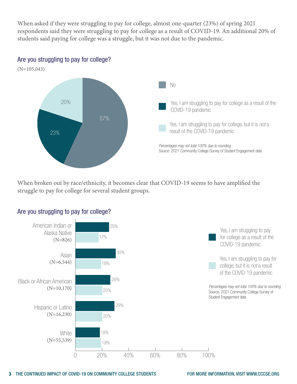When asked if they were struggling to pay for college, almost one-quarter (23%) of spring 2021 respondents said they were struggling to pay for college as a result of COVID-19. An additional 20% of students said paying for college was a struggle, but it was not due to the pandemic.

Are you struggling to pay for college?



When broken out by race/ethnicity, it becomes clear that COVID-19 seems to have amplified the struggle to pay for college for several student groups.



#### Are you struggling to pay for college?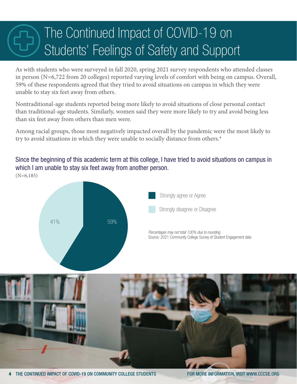### The Continued Impact of COVID-19 on Students' Feelings of Safety and Support

As with students who were surveyed in fall 2020, spring 2021 survey respondents who attended classes in person (N=6,722 from 20 colleges) reported varying levels of comfort with being on campus. Overall, 59% of these respondents agreed that they tried to avoid situations on campus in which they were unable to stay six feet away from others.

Nontraditional-age students reported being more likely to avoid situations of close personal contact than traditional-age students. Similarly, women said they were more likely to try and avoid being less than six feet away from others than men were.

Among racial groups, those most negatively impacted overall by the pandemic were the most likely to try to avoid situations in which they were unable to socially distance from others.\*

Since the beginning of this academic term at this college, I have tried to avoid situations on campus in which I am unable to stay six feet away from another person.  $(N=6,185)$ 





4 THE CONTINUED IMPACT OF COVID-19 ON COMMUNITY COLLEGE STUDENTS FOR MORE INFORMATION, VISIT [WWW.CCCSE.ORG](http://www.cccse.org)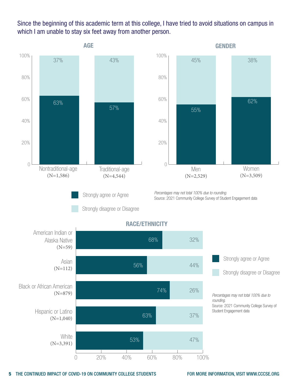Since the beginning of this academic term at this college, I have tried to avoid situations on campus in which I am unable to stay six feet away from another person.

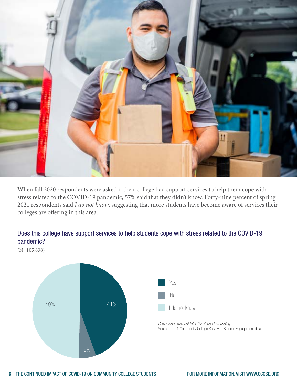

When fall 2020 respondents were asked if their college had support services to help them cope with stress related to the COVID-19 pandemic, 57% said that they didn't know. Forty-nine percent of spring 2021 respondents said *I do not know*, suggesting that more students have become aware of services their colleges are offering in this area.



#### Does this college have support services to help students cope with stress related to the COVID-19 pandemic?

(N=105,838)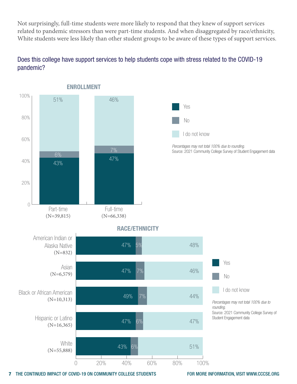Not surprisingly, full-time students were more likely to respond that they knew of support services related to pandemic stressors than were part-time students. And when disaggregated by race/ethnicity, White students were less likely than other student groups to be aware of these types of support services.

#### Does this college have support services to help students cope with stress related to the COVID-19 pandemic?



7 THE CONTINUED IMPACT OF COVID-19 ON COMMUNITY COLLEGE STUDENTS FOR MORE INFORMATION, VISIT [WWW.CCCSE.ORG](http://www.cccse.org)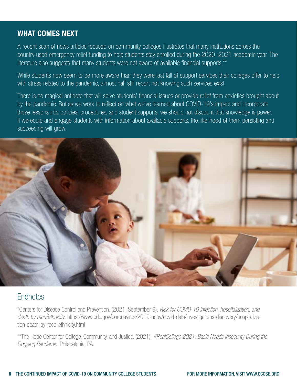#### WHAT COMES NEXT

A recent scan of news articles focused on community colleges illustrates that many institutions across the country used emergency relief funding to help students stay enrolled during the 2020–2021 academic year. The literature also suggests that many students were not aware of available financial supports.\*\*

While students now seem to be more aware than they were last fall of support services their colleges offer to help with stress related to the pandemic, almost half still report not knowing such services exist.

There is no magical antidote that will solve students' financial issues or provide relief from anxieties brought about by the pandemic. But as we work to reflect on what we've learned about COVID-19's impact and incorporate those lessons into policies, procedures, and student supports, we should not discount that knowledge is power. If we equip and engage students with information about available supports, the likelihood of them persisting and succeeding will grow.



### **Endnotes**

\*Centers for Disease Control and Prevention. (2021, September 9). *Risk for COVID-19 infection, hospitalization, and death by race/ethnicity*. [https://www.cdc.gov/coronavirus/2019-ncov/covid-data/investigations-discovery/hospitaliza](https://www.cdc.gov/coronavirus/2019-ncov/covid-data/investigations-discovery/hospitalization-death-by-race-ethnicity.html)[tion-death-by-race-ethnicity.html](https://www.cdc.gov/coronavirus/2019-ncov/covid-data/investigations-discovery/hospitalization-death-by-race-ethnicity.html)

\*\*The Hope Center for College, Community, and Justice. (2021). *#RealCollege 2021: Basic Needs Insecurity During the Ongoing Pandemic*. Philadelphia, PA.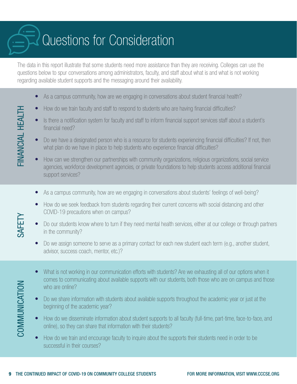### **Questions for Consideration**

The data in this report illustrate that some students need more assistance than they are receiving. Colleges can use the questions below to spur conversations among administrators, faculty, and staff about what is and what is not working regarding available student supports and the messaging around their availability.

- As a campus community, how are we engaging in conversations about student financial health?
- How do we train faculty and staff to respond to students who are having financial difficulties?
- Is there a notification system for faculty and staff to inform financial support services staff about a student's financial need?
- Do we have a designated person who is a resource for students experiencing financial difficulties? If not, then what plan do we have in place to help students who experience financial difficulties?
- How can we strengthen our partnerships with community organizations, religious organizations, social service agencies, workforce development agencies, or private foundations to help students access additional financial support services?
- As a campus community, how are we engaging in conversations about students' feelings of well-being?
- How do we seek feedback from students regarding their current concerns with social distancing and other COVID-19 precautions when on campus?
- Do our students know where to turn if they need mental health services, either at our college or through partners in the community?
- Do we assign someone to serve as a primary contact for each new student each term (e.g., another student, advisor, success coach, mentor, etc.)?
- What is not working in our communication efforts with students? Are we exhausting all of our options when it comes to communicating about available supports with our students, both those who are on campus and those who are online?
- Do we share information with students about available supports throughout the academic year or just at the beginning of the academic year?
- How do we disseminate information about student supports to all faculty (full-time, part-time, face-to-face, and online), so they can share that information with their students?
- How do we train and encourage faculty to inquire about the supports their students need in order to be successful in their courses?

FINANCIAL HEALTH FINANCIAL HEALTH

SAFETY

COMMUNICATION

COMMUNICATION